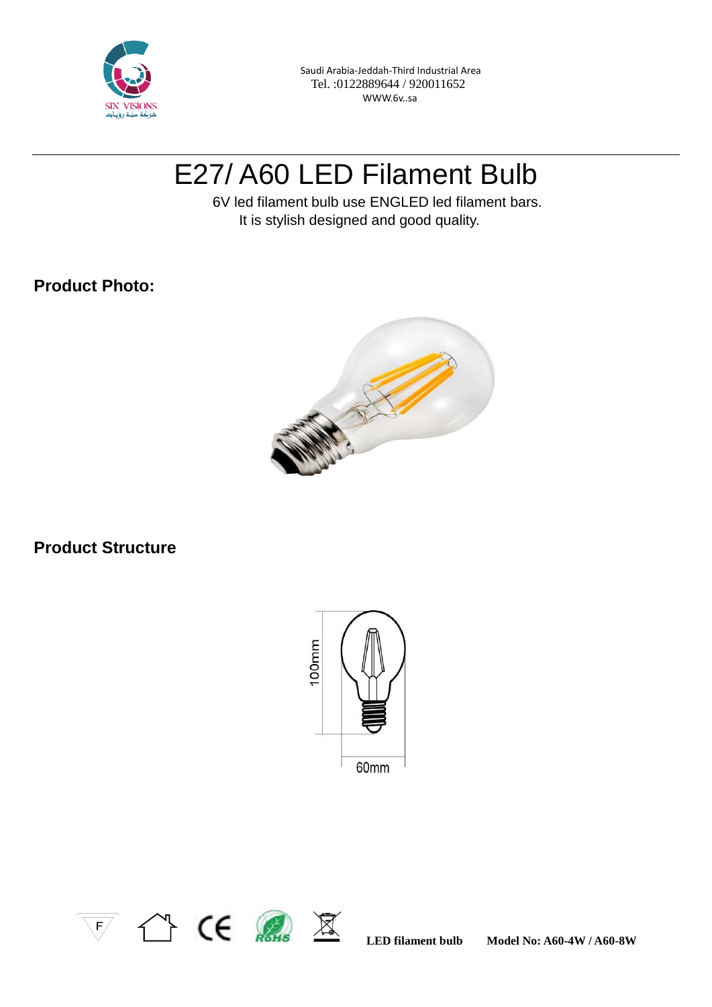

 Saudi Arabia-Jeddah-Third Industrial Area Tel. :0122889644 / 920011652 WWW.6v..sa

# E27/ A60 LED Filament Bulb

 6V led filament bulb use ENGLED led filament bars. It is stylish designed and good quality.

### **Product Photo:**



# **Product Structure**





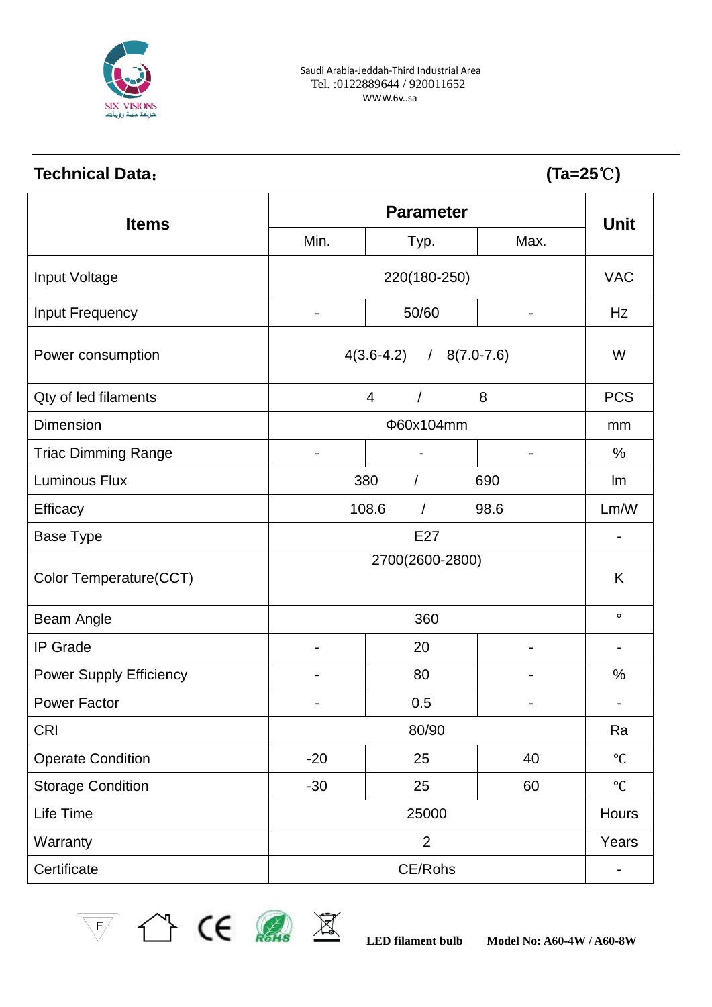

# **Technical Data**: **(Ta=25**℃**)**

| <b>Items</b>                   | <b>Parameter</b>                 |          |                          |              |
|--------------------------------|----------------------------------|----------|--------------------------|--------------|
|                                | Min.                             | Typ.     | Max.                     | <b>Unit</b>  |
| Input Voltage                  | 220(180-250)                     |          |                          | <b>VAC</b>   |
| Input Frequency                | $\overline{a}$                   | 50/60    |                          | Hz           |
| Power consumption              | $4(3.6 - 4.2)$<br>$/$ 8(7.0-7.6) |          |                          | W            |
| Qty of led filaments           |                                  | 4        | 8                        | <b>PCS</b>   |
| <b>Dimension</b>               | Φ60x104mm                        |          |                          | mm           |
| <b>Triac Dimming Range</b>     |                                  |          |                          | $\%$         |
| <b>Luminous Flux</b>           |                                  | 380<br>1 | 690                      | Im           |
| <b>Efficacy</b>                | 108.6<br>98.6<br>$\prime$        |          | Lm/W                     |              |
| <b>Base Type</b>               | E27                              |          |                          |              |
| Color Temperature(CCT)         | 2700(2600-2800)                  |          |                          | K            |
| Beam Angle                     | 360                              |          |                          | $\circ$      |
| <b>IP</b> Grade                | $\qquad \qquad \blacksquare$     | 20       | $\overline{\phantom{a}}$ | Ē,           |
| <b>Power Supply Efficiency</b> |                                  | 80       |                          | $\%$         |
| <b>Power Factor</b>            |                                  | 0.5      |                          |              |
| <b>CRI</b>                     | 80/90                            |          | Ra                       |              |
| <b>Operate Condition</b>       | $-20$                            | 25       | 40                       | $\mathrm{C}$ |
| <b>Storage Condition</b>       | $-30$                            | 25       | 60                       | $^{\circ}C$  |
| Life Time                      | 25000                            |          |                          | Hours        |
| Warranty                       | $\overline{2}$                   |          |                          | Years        |
| Certificate                    | CE/Rohs                          |          |                          | -            |



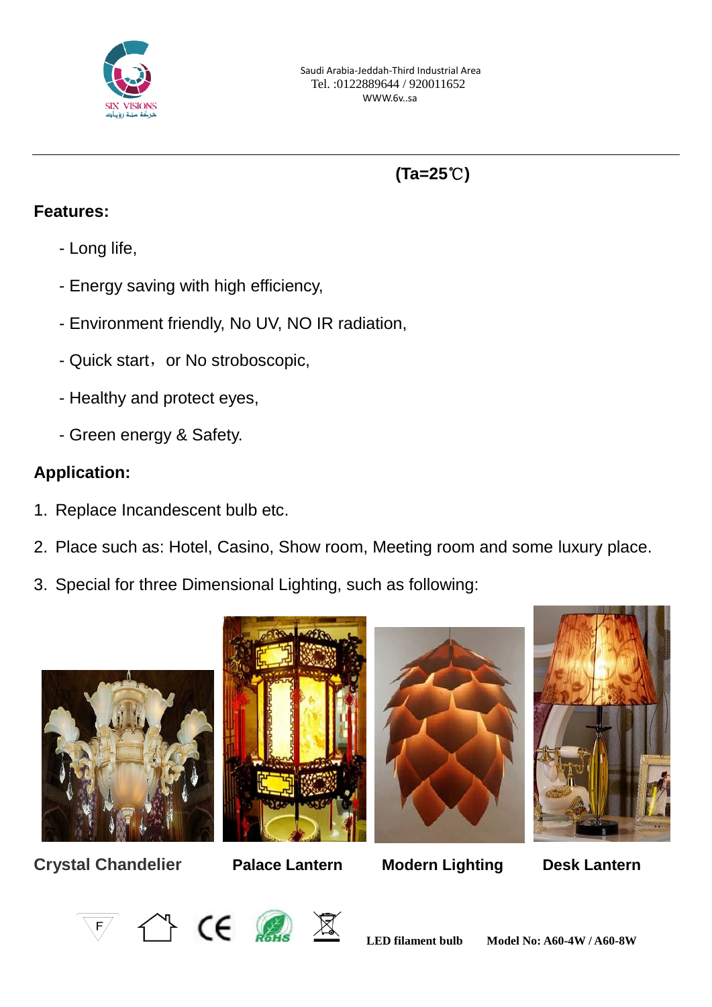

# **(Ta=25**℃**)**

### **Features:**

- Long life,
- Energy saving with high efficiency,
- Environment friendly, No UV, NO IR radiation,
- Quick start, or No stroboscopic,
- Healthy and protect eyes,
- Green energy & Safety.

# **Application:**

- 1. Replace Incandescent bulb etc.
- 2. Place such as: Hotel, Casino, Show room, Meeting room and some luxury place.
- 3. Special for three Dimensional Lighting, such as following:



**Crystal Chandelier Palace Lantern Modern Lighting Desk Lantern**